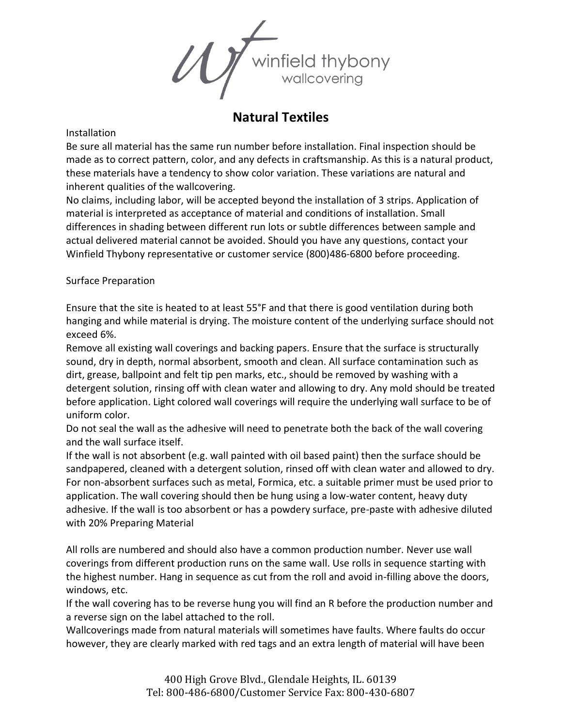

## **Natural Textiles**

## Installation

Be sure all material has the same run number before installation. Final inspection should be made as to correct pattern, color, and any defects in craftsmanship. As this is a natural product, these materials have a tendency to show color variation. These variations are natural and inherent qualities of the wallcovering.

No claims, including labor, will be accepted beyond the installation of 3 strips. Application of material is interpreted as acceptance of material and conditions of installation. Small differences in shading between different run lots or subtle differences between sample and actual delivered material cannot be avoided. Should you have any questions, contact your Winfield Thybony representative or customer service (800)486-6800 before proceeding.

Surface Preparation

Ensure that the site is heated to at least 55°F and that there is good ventilation during both hanging and while material is drying. The moisture content of the underlying surface should not exceed 6%.

Remove all existing wall coverings and backing papers. Ensure that the surface is structurally sound, dry in depth, normal absorbent, smooth and clean. All surface contamination such as dirt, grease, ballpoint and felt tip pen marks, etc., should be removed by washing with a detergent solution, rinsing off with clean water and allowing to dry. Any mold should be treated before application. Light colored wall coverings will require the underlying wall surface to be of uniform color.

Do not seal the wall as the adhesive will need to penetrate both the back of the wall covering and the wall surface itself.

If the wall is not absorbent (e.g. wall painted with oil based paint) then the surface should be sandpapered, cleaned with a detergent solution, rinsed off with clean water and allowed to dry. For non-absorbent surfaces such as metal, Formica, etc. a suitable primer must be used prior to application. The wall covering should then be hung using a low-water content, heavy duty adhesive. If the wall is too absorbent or has a powdery surface, pre-paste with adhesive diluted with 20% Preparing Material

All rolls are numbered and should also have a common production number. Never use wall coverings from different production runs on the same wall. Use rolls in sequence starting with the highest number. Hang in sequence as cut from the roll and avoid in-filling above the doors, windows, etc.

If the wall covering has to be reverse hung you will find an R before the production number and a reverse sign on the label attached to the roll.

Wallcoverings made from natural materials will sometimes have faults. Where faults do occur however, they are clearly marked with red tags and an extra length of material will have been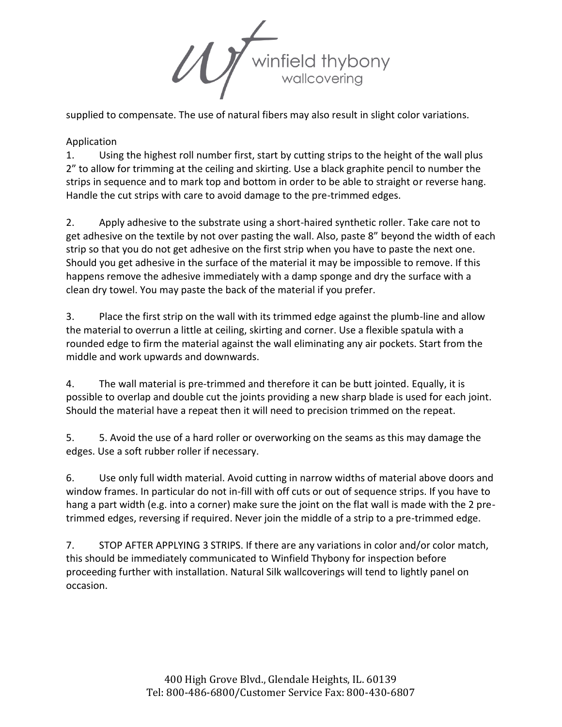Winfield thybony

supplied to compensate. The use of natural fibers may also result in slight color variations.

## Application

1. Using the highest roll number first, start by cutting strips to the height of the wall plus 2" to allow for trimming at the ceiling and skirting. Use a black graphite pencil to number the strips in sequence and to mark top and bottom in order to be able to straight or reverse hang. Handle the cut strips with care to avoid damage to the pre-trimmed edges.

2. Apply adhesive to the substrate using a short-haired synthetic roller. Take care not to get adhesive on the textile by not over pasting the wall. Also, paste 8" beyond the width of each strip so that you do not get adhesive on the first strip when you have to paste the next one. Should you get adhesive in the surface of the material it may be impossible to remove. If this happens remove the adhesive immediately with a damp sponge and dry the surface with a clean dry towel. You may paste the back of the material if you prefer.

3. Place the first strip on the wall with its trimmed edge against the plumb-line and allow the material to overrun a little at ceiling, skirting and corner. Use a flexible spatula with a rounded edge to firm the material against the wall eliminating any air pockets. Start from the middle and work upwards and downwards.

4. The wall material is pre-trimmed and therefore it can be butt jointed. Equally, it is possible to overlap and double cut the joints providing a new sharp blade is used for each joint. Should the material have a repeat then it will need to precision trimmed on the repeat.

5. 5. Avoid the use of a hard roller or overworking on the seams as this may damage the edges. Use a soft rubber roller if necessary.

6. Use only full width material. Avoid cutting in narrow widths of material above doors and window frames. In particular do not in-fill with off cuts or out of sequence strips. If you have to hang a part width (e.g. into a corner) make sure the joint on the flat wall is made with the 2 pretrimmed edges, reversing if required. Never join the middle of a strip to a pre-trimmed edge.

7. STOP AFTER APPLYING 3 STRIPS. If there are any variations in color and/or color match, this should be immediately communicated to Winfield Thybony for inspection before proceeding further with installation. Natural Silk wallcoverings will tend to lightly panel on occasion.